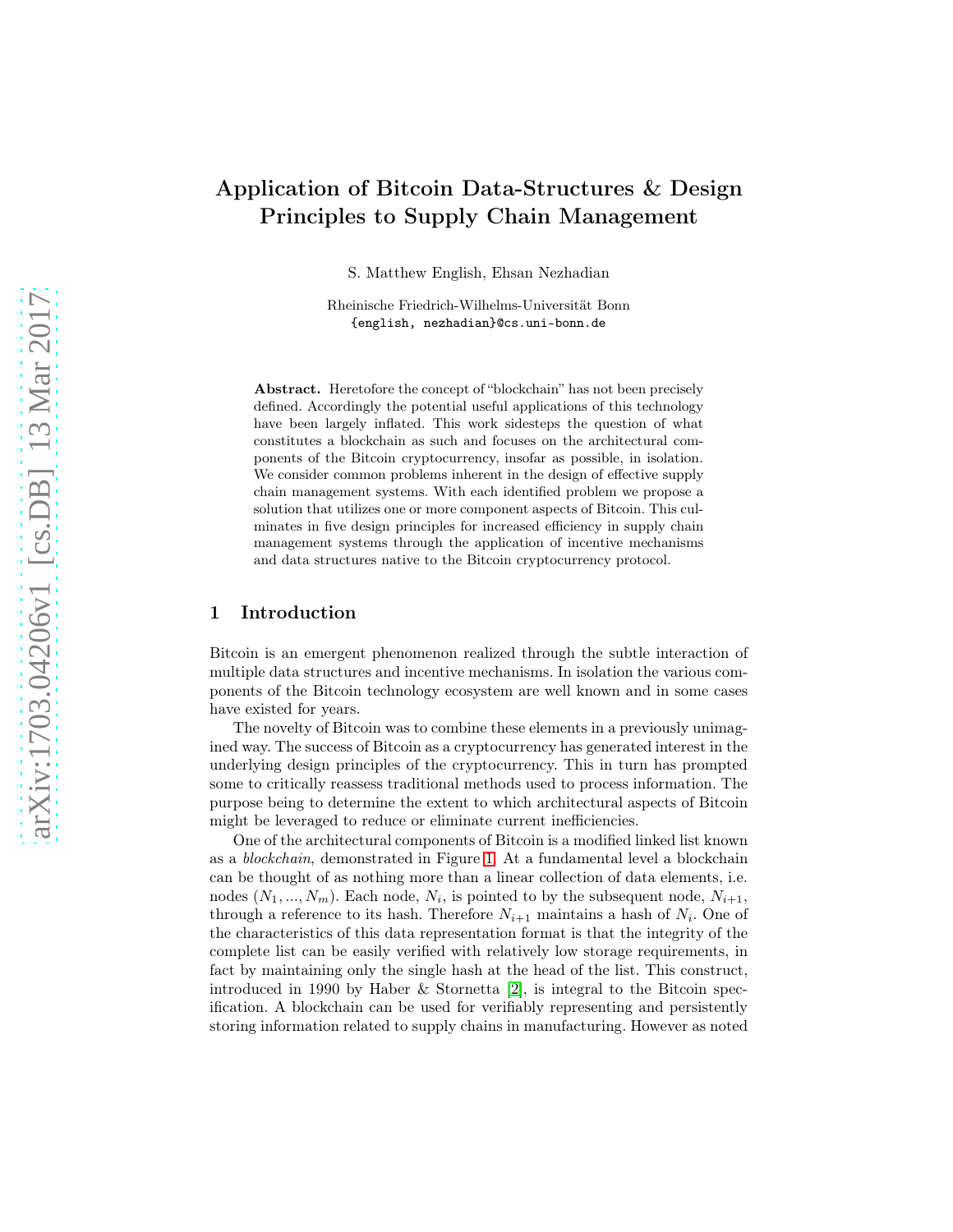# Application of Bitcoin Data-Structures & Design Principles to Supply Chain Management

S. Matthew English, Ehsan Nezhadian

Rheinische Friedrich-Wilhelms-Universität Bonn {english, nezhadian}@cs.uni-bonn.de

Abstract. Heretofore the concept of "blockchain" has not been precisely defined. Accordingly the potential useful applications of this technology have been largely inflated. This work sidesteps the question of what constitutes a blockchain as such and focuses on the architectural components of the Bitcoin cryptocurrency, insofar as possible, in isolation. We consider common problems inherent in the design of effective supply chain management systems. With each identified problem we propose a solution that utilizes one or more component aspects of Bitcoin. This culminates in five design principles for increased efficiency in supply chain management systems through the application of incentive mechanisms and data structures native to the Bitcoin cryptocurrency protocol.

# 1 Introduction

Bitcoin is an emergent phenomenon realized through the subtle interaction of multiple data structures and incentive mechanisms. In isolation the various components of the Bitcoin technology ecosystem are well known and in some cases have existed for years.

The novelty of Bitcoin was to combine these elements in a previously unimagined way. The success of Bitcoin as a cryptocurrency has generated interest in the underlying design principles of the cryptocurrency. This in turn has prompted some to critically reassess traditional methods used to process information. The purpose being to determine the extent to which architectural aspects of Bitcoin might be leveraged to reduce or eliminate current inefficiencies.

One of the architectural components of Bitcoin is a modified linked list known as a blockchain, demonstrated in Figure [1.](#page-1-0) At a fundamental level a blockchain can be thought of as nothing more than a linear collection of data elements, i.e. nodes  $(N_1, ..., N_m)$ . Each node,  $N_i$ , is pointed to by the subsequent node,  $N_{i+1}$ , through a reference to its hash. Therefore  $N_{i+1}$  maintains a hash of  $N_i$ . One of the characteristics of this data representation format is that the integrity of the complete list can be easily verified with relatively low storage requirements, in fact by maintaining only the single hash at the head of the list. This construct, introduced in 1990 by Haber & Stornetta [\[2\]](#page-7-0), is integral to the Bitcoin specification. A blockchain can be used for verifiably representing and persistently storing information related to supply chains in manufacturing. However as noted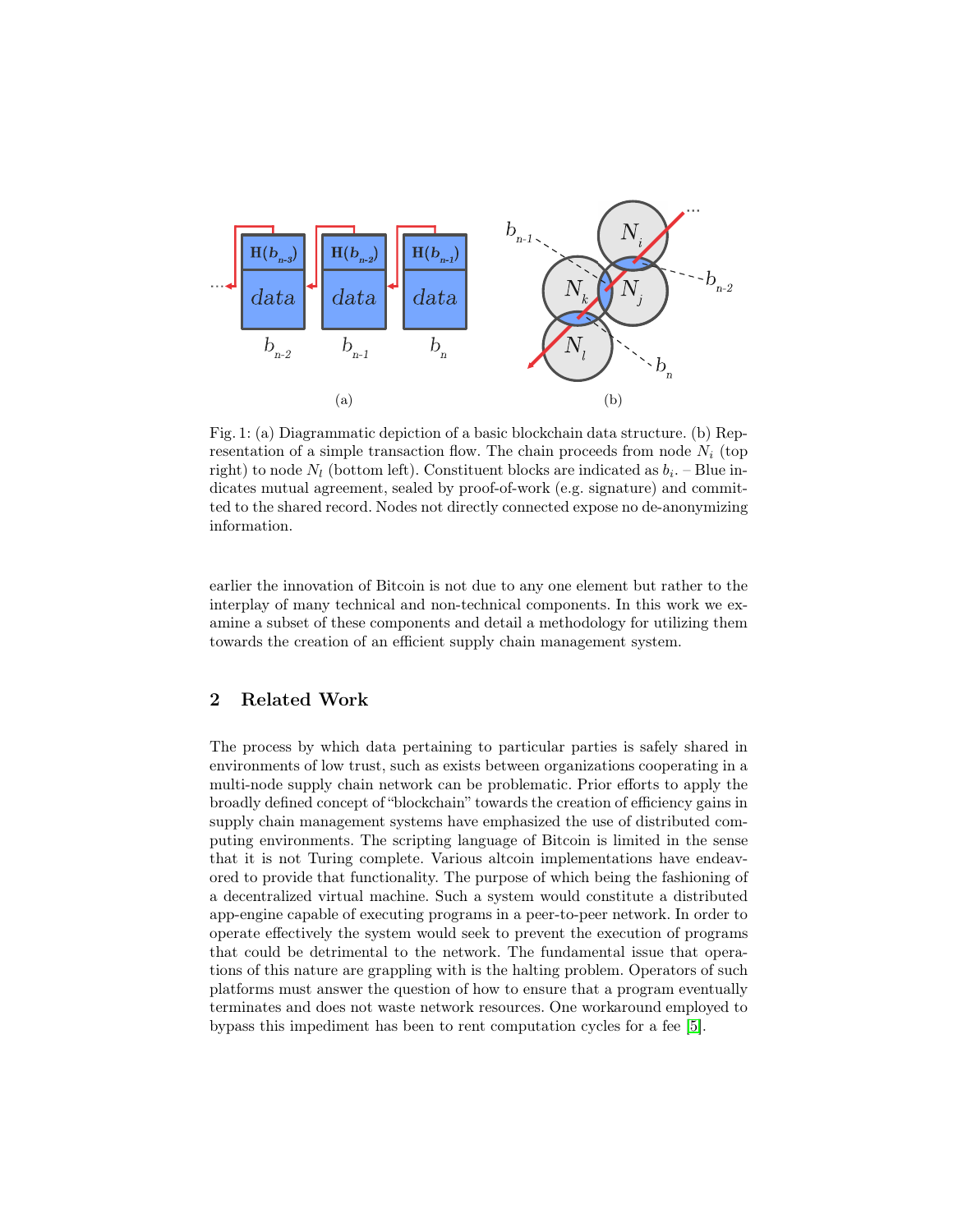<span id="page-1-0"></span>

Fig. 1: (a) Diagrammatic depiction of a basic blockchain data structure. (b) Representation of a simple transaction flow. The chain proceeds from node  $N_i$  (top right) to node  $N_l$  (bottom left). Constituent blocks are indicated as  $b_i$ . – Blue indicates mutual agreement, sealed by proof-of-work (e.g. signature) and committed to the shared record. Nodes not directly connected expose no de-anonymizing information.

earlier the innovation of Bitcoin is not due to any one element but rather to the interplay of many technical and non-technical components. In this work we examine a subset of these components and detail a methodology for utilizing them towards the creation of an efficient supply chain management system.

# 2 Related Work

The process by which data pertaining to particular parties is safely shared in environments of low trust, such as exists between organizations cooperating in a multi-node supply chain network can be problematic. Prior efforts to apply the broadly defined concept of "blockchain" towards the creation of efficiency gains in supply chain management systems have emphasized the use of distributed computing environments. The scripting language of Bitcoin is limited in the sense that it is not Turing complete. Various altcoin implementations have endeavored to provide that functionality. The purpose of which being the fashioning of a decentralized virtual machine. Such a system would constitute a distributed app-engine capable of executing programs in a peer-to-peer network. In order to operate effectively the system would seek to prevent the execution of programs that could be detrimental to the network. The fundamental issue that operations of this nature are grappling with is the halting problem. Operators of such platforms must answer the question of how to ensure that a program eventually terminates and does not waste network resources. One workaround employed to bypass this impediment has been to rent computation cycles for a fee [\[5\]](#page-7-1).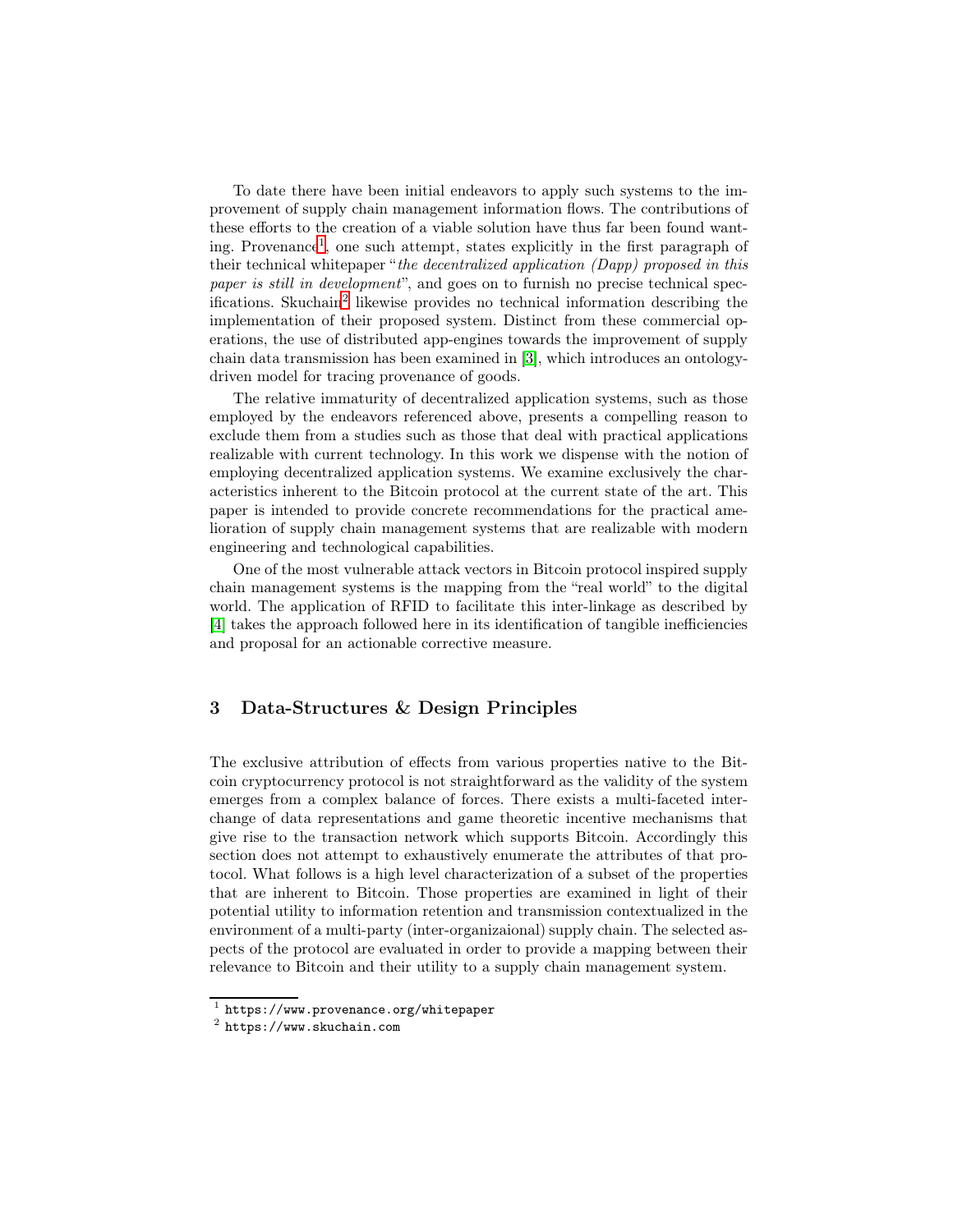To date there have been initial endeavors to apply such systems to the improvement of supply chain management information flows. The contributions of these efforts to the creation of a viable solution have thus far been found wanting. Provenance[1](#page-2-0) , one such attempt, states explicitly in the first paragraph of their technical whitepaper "the decentralized application (Dapp) proposed in this paper is still in development", and goes on to furnish no precise technical specifications. Skuchain[2](#page-2-1) likewise provides no technical information describing the implementation of their proposed system. Distinct from these commercial operations, the use of distributed app-engines towards the improvement of supply chain data transmission has been examined in [\[3\]](#page-7-2), which introduces an ontologydriven model for tracing provenance of goods.

The relative immaturity of decentralized application systems, such as those employed by the endeavors referenced above, presents a compelling reason to exclude them from a studies such as those that deal with practical applications realizable with current technology. In this work we dispense with the notion of employing decentralized application systems. We examine exclusively the characteristics inherent to the Bitcoin protocol at the current state of the art. This paper is intended to provide concrete recommendations for the practical amelioration of supply chain management systems that are realizable with modern engineering and technological capabilities.

One of the most vulnerable attack vectors in Bitcoin protocol inspired supply chain management systems is the mapping from the "real world" to the digital world. The application of RFID to facilitate this inter-linkage as described by [\[4\]](#page-7-3) takes the approach followed here in its identification of tangible inefficiencies and proposal for an actionable corrective measure.

# 3 Data-Structures & Design Principles

The exclusive attribution of effects from various properties native to the Bitcoin cryptocurrency protocol is not straightforward as the validity of the system emerges from a complex balance of forces. There exists a multi-faceted interchange of data representations and game theoretic incentive mechanisms that give rise to the transaction network which supports Bitcoin. Accordingly this section does not attempt to exhaustively enumerate the attributes of that protocol. What follows is a high level characterization of a subset of the properties that are inherent to Bitcoin. Those properties are examined in light of their potential utility to information retention and transmission contextualized in the environment of a multi-party (inter-organizaional) supply chain. The selected aspects of the protocol are evaluated in order to provide a mapping between their relevance to Bitcoin and their utility to a supply chain management system.

 $^{\rm 1}$  https://www.provenance.org/whitepaper

<span id="page-2-1"></span><span id="page-2-0"></span><sup>2</sup> https://www.skuchain.com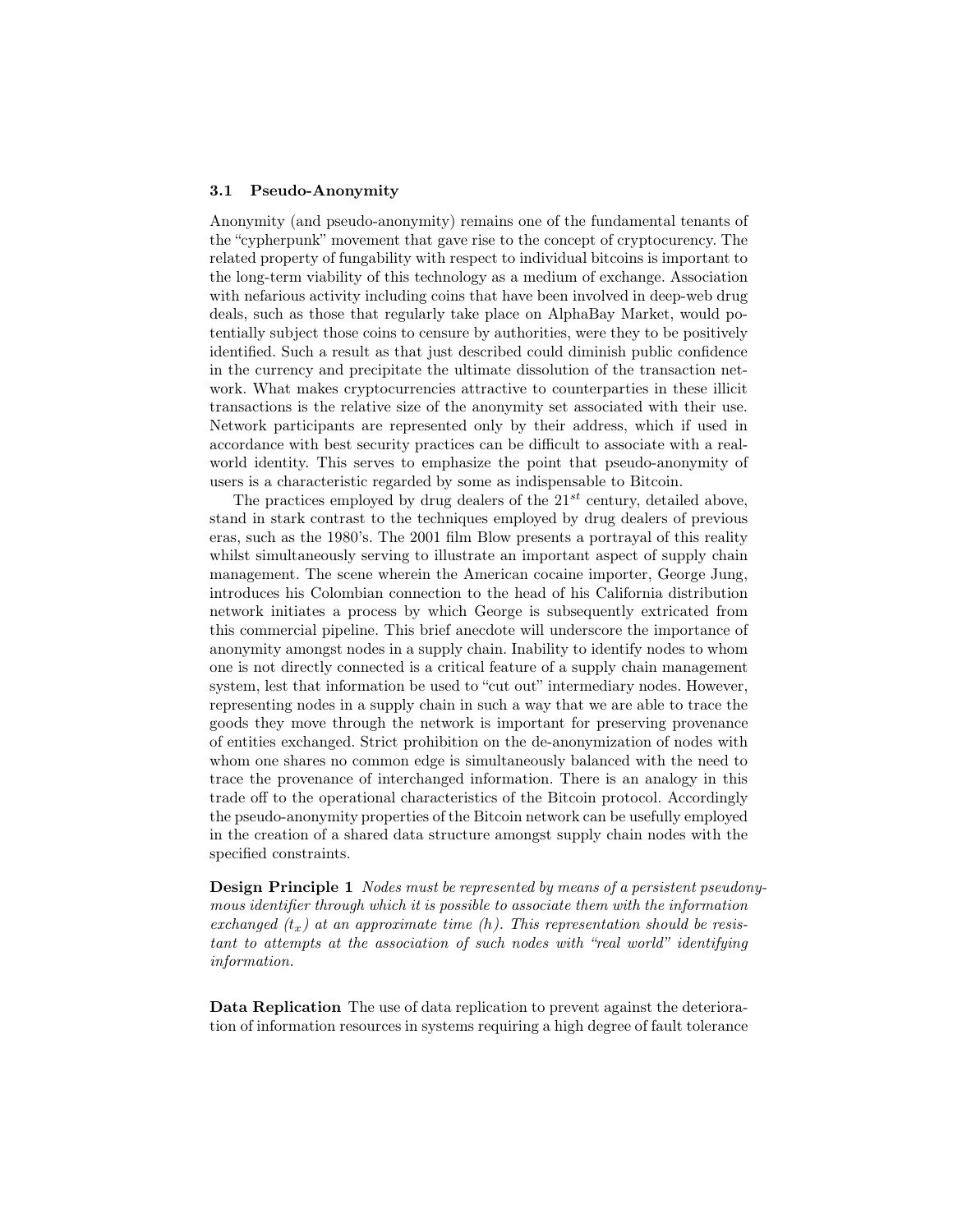#### 3.1 Pseudo-Anonymity

Anonymity (and pseudo-anonymity) remains one of the fundamental tenants of the "cypherpunk" movement that gave rise to the concept of cryptocurency. The related property of fungability with respect to individual bitcoins is important to the long-term viability of this technology as a medium of exchange. Association with nefarious activity including coins that have been involved in deep-web drug deals, such as those that regularly take place on AlphaBay Market, would potentially subject those coins to censure by authorities, were they to be positively identified. Such a result as that just described could diminish public confidence in the currency and precipitate the ultimate dissolution of the transaction network. What makes cryptocurrencies attractive to counterparties in these illicit transactions is the relative size of the anonymity set associated with their use. Network participants are represented only by their address, which if used in accordance with best security practices can be difficult to associate with a realworld identity. This serves to emphasize the point that pseudo-anonymity of users is a characteristic regarded by some as indispensable to Bitcoin.

The practices employed by drug dealers of the  $21^{st}$  century, detailed above, stand in stark contrast to the techniques employed by drug dealers of previous eras, such as the 1980's. The 2001 film Blow presents a portrayal of this reality whilst simultaneously serving to illustrate an important aspect of supply chain management. The scene wherein the American cocaine importer, George Jung, introduces his Colombian connection to the head of his California distribution network initiates a process by which George is subsequently extricated from this commercial pipeline. This brief anecdote will underscore the importance of anonymity amongst nodes in a supply chain. Inability to identify nodes to whom one is not directly connected is a critical feature of a supply chain management system, lest that information be used to "cut out" intermediary nodes. However, representing nodes in a supply chain in such a way that we are able to trace the goods they move through the network is important for preserving provenance of entities exchanged. Strict prohibition on the de-anonymization of nodes with whom one shares no common edge is simultaneously balanced with the need to trace the provenance of interchanged information. There is an analogy in this trade off to the operational characteristics of the Bitcoin protocol. Accordingly the pseudo-anonymity properties of the Bitcoin network can be usefully employed in the creation of a shared data structure amongst supply chain nodes with the specified constraints.

Design Principle 1 Nodes must be represented by means of a persistent pseudonymous identifier through which it is possible to associate them with the information exchanged  $(t_x)$  at an approximate time (h). This representation should be resistant to attempts at the association of such nodes with "real world" identifying information.

Data Replication The use of data replication to prevent against the deterioration of information resources in systems requiring a high degree of fault tolerance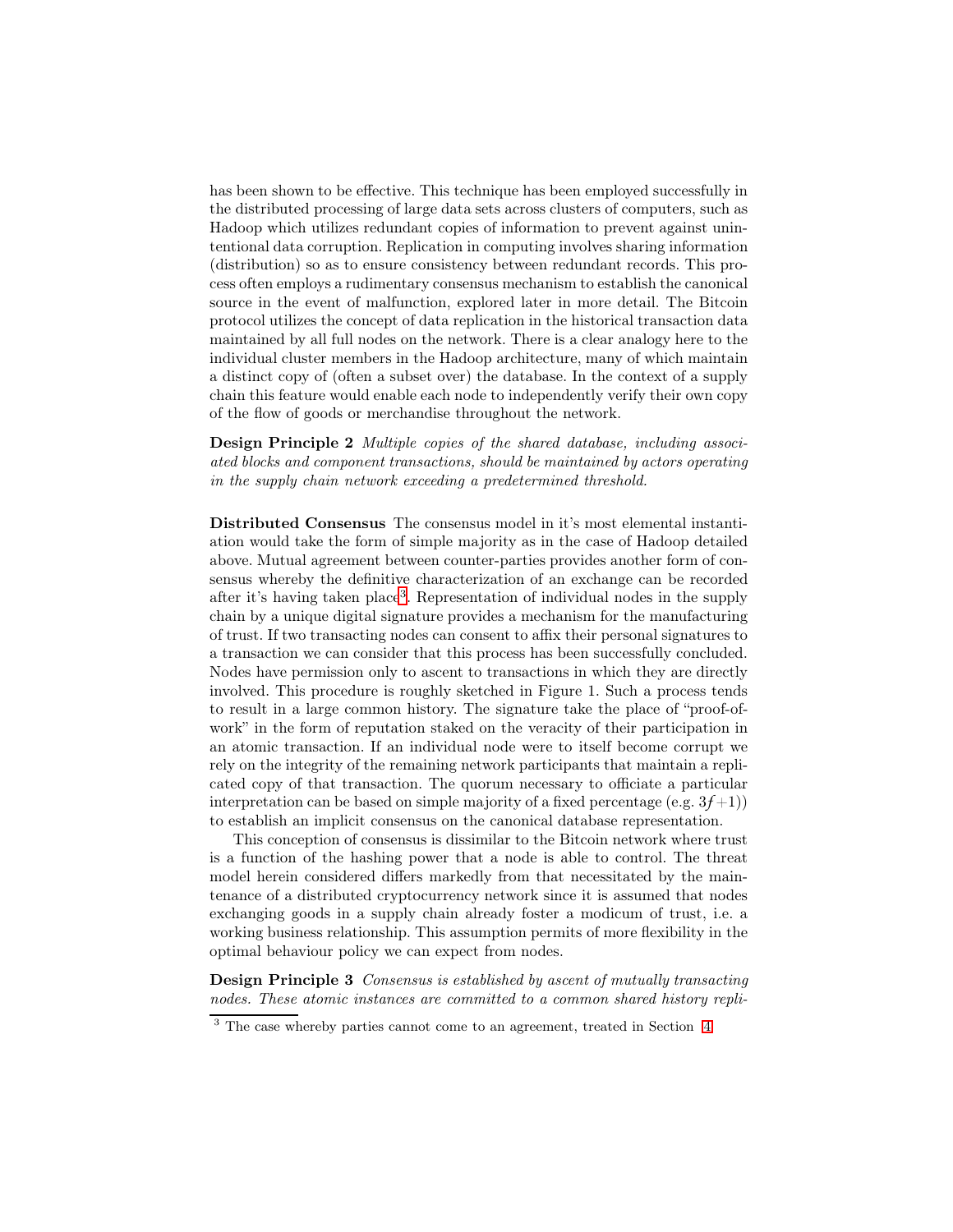has been shown to be effective. This technique has been employed successfully in the distributed processing of large data sets across clusters of computers, such as Hadoop which utilizes redundant copies of information to prevent against unintentional data corruption. Replication in computing involves sharing information (distribution) so as to ensure consistency between redundant records. This process often employs a rudimentary consensus mechanism to establish the canonical source in the event of malfunction, explored later in more detail. The Bitcoin protocol utilizes the concept of data replication in the historical transaction data maintained by all full nodes on the network. There is a clear analogy here to the individual cluster members in the Hadoop architecture, many of which maintain a distinct copy of (often a subset over) the database. In the context of a supply chain this feature would enable each node to independently verify their own copy of the flow of goods or merchandise throughout the network.

Design Principle 2 Multiple copies of the shared database, including associated blocks and component transactions, should be maintained by actors operating in the supply chain network exceeding a predetermined threshold.

Distributed Consensus The consensus model in it's most elemental instantiation would take the form of simple majority as in the case of Hadoop detailed above. Mutual agreement between counter-parties provides another form of consensus whereby the definitive characterization of an exchange can be recorded after it's having taken place<sup>[3](#page-4-0)</sup>. Representation of individual nodes in the supply chain by a unique digital signature provides a mechanism for the manufacturing of trust. If two transacting nodes can consent to affix their personal signatures to a transaction we can consider that this process has been successfully concluded. Nodes have permission only to ascent to transactions in which they are directly involved. This procedure is roughly sketched in Figure 1. Such a process tends to result in a large common history. The signature take the place of "proof-ofwork" in the form of reputation staked on the veracity of their participation in an atomic transaction. If an individual node were to itself become corrupt we rely on the integrity of the remaining network participants that maintain a replicated copy of that transaction. The quorum necessary to officiate a particular interpretation can be based on simple majority of a fixed percentage (e.g.  $3f+1$ )) to establish an implicit consensus on the canonical database representation.

This conception of consensus is dissimilar to the Bitcoin network where trust is a function of the hashing power that a node is able to control. The threat model herein considered differs markedly from that necessitated by the maintenance of a distributed cryptocurrency network since it is assumed that nodes exchanging goods in a supply chain already foster a modicum of trust, i.e. a working business relationship. This assumption permits of more flexibility in the optimal behaviour policy we can expect from nodes.

Design Principle 3 Consensus is established by ascent of mutually transacting nodes. These atomic instances are committed to a common shared history repli-

<span id="page-4-0"></span><sup>&</sup>lt;sup>3</sup> The case whereby parties cannot come to an agreement, treated in Section [4](#page-6-0)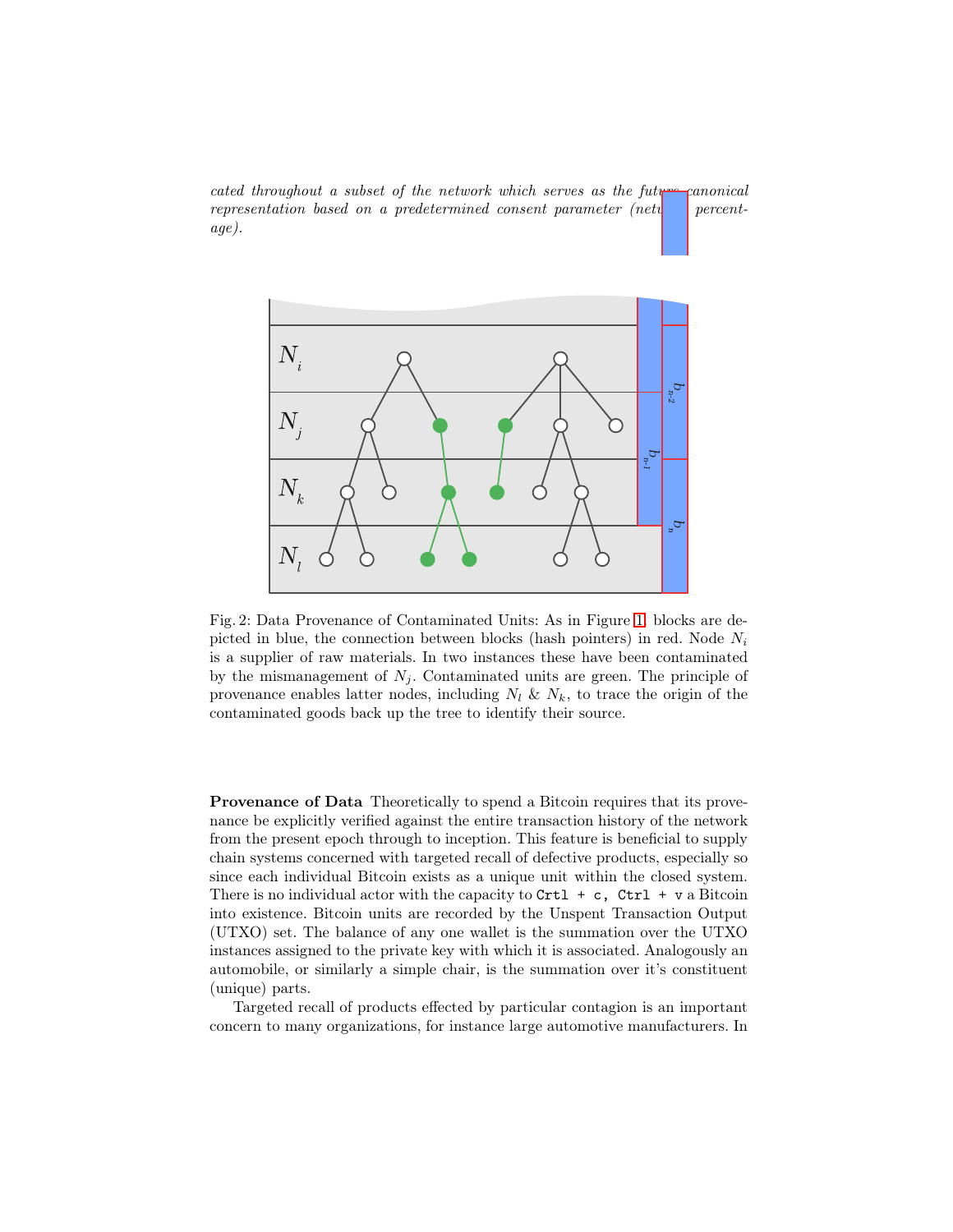cated throughout a subset of the network which serves as the future canonical representation based on a predetermined consent parameter (network percentage).



Fig. 2: Data Provenance of Contaminated Units: As in Figure [1.](#page-1-0) blocks are depicted in blue, the connection between blocks (hash pointers) in red. Node  $N_i$ is a supplier of raw materials. In two instances these have been contaminated by the mismanagement of  $N_i$ . Contaminated units are green. The principle of provenance enables latter nodes, including  $N_l \& N_k$ , to trace the origin of the contaminated goods back up the tree to identify their source.

Provenance of Data Theoretically to spend a Bitcoin requires that its provenance be explicitly verified against the entire transaction history of the network from the present epoch through to inception. This feature is beneficial to supply chain systems concerned with targeted recall of defective products, especially so since each individual Bitcoin exists as a unique unit within the closed system. There is no individual actor with the capacity to  $\text{Crt1} + c$ ,  $\text{Ctr1} + v$  a Bitcoin into existence. Bitcoin units are recorded by the Unspent Transaction Output (UTXO) set. The balance of any one wallet is the summation over the UTXO instances assigned to the private key with which it is associated. Analogously an automobile, or similarly a simple chair, is the summation over it's constituent (unique) parts.

Targeted recall of products effected by particular contagion is an important concern to many organizations, for instance large automotive manufacturers. In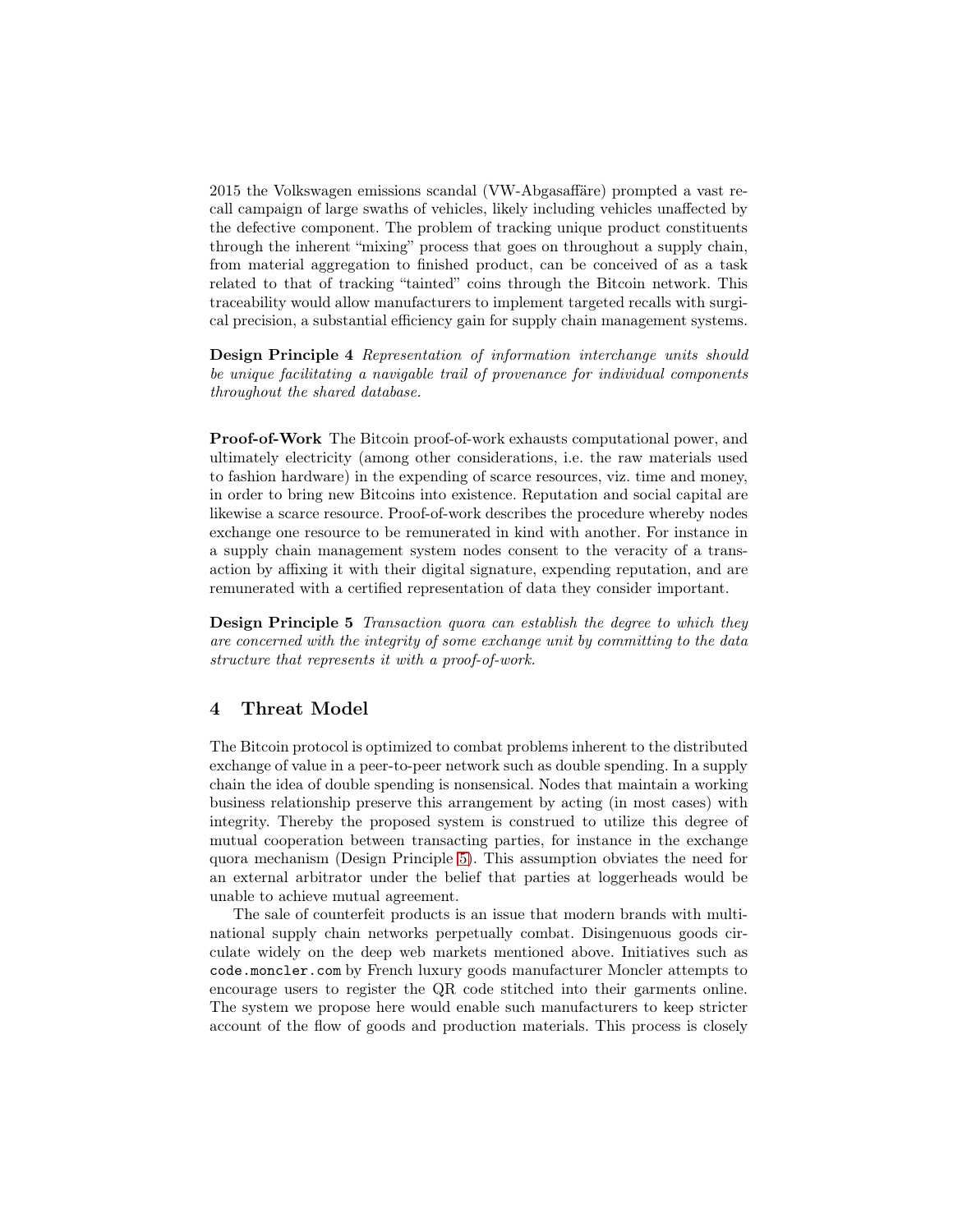2015 the Volkswagen emissions scandal (VW-Abgasaffäre) prompted a vast recall campaign of large swaths of vehicles, likely including vehicles unaffected by the defective component. The problem of tracking unique product constituents through the inherent "mixing" process that goes on throughout a supply chain, from material aggregation to finished product, can be conceived of as a task related to that of tracking "tainted" coins through the Bitcoin network. This traceability would allow manufacturers to implement targeted recalls with surgical precision, a substantial efficiency gain for supply chain management systems.

Design Principle 4 Representation of information interchange units should be unique facilitating a navigable trail of provenance for individual components throughout the shared database.

Proof-of-Work The Bitcoin proof-of-work exhausts computational power, and ultimately electricity (among other considerations, i.e. the raw materials used to fashion hardware) in the expending of scarce resources, viz. time and money, in order to bring new Bitcoins into existence. Reputation and social capital are likewise a scarce resource. Proof-of-work describes the procedure whereby nodes exchange one resource to be remunerated in kind with another. For instance in a supply chain management system nodes consent to the veracity of a transaction by affixing it with their digital signature, expending reputation, and are remunerated with a certified representation of data they consider important.

<span id="page-6-1"></span>**Design Principle 5** Transaction quora can establish the degree to which they are concerned with the integrity of some exchange unit by committing to the data structure that represents it with a proof-of-work.

# <span id="page-6-0"></span>4 Threat Model

The Bitcoin protocol is optimized to combat problems inherent to the distributed exchange of value in a peer-to-peer network such as double spending. In a supply chain the idea of double spending is nonsensical. Nodes that maintain a working business relationship preserve this arrangement by acting (in most cases) with integrity. Thereby the proposed system is construed to utilize this degree of mutual cooperation between transacting parties, for instance in the exchange quora mechanism (Design Principle [5\)](#page-6-1). This assumption obviates the need for an external arbitrator under the belief that parties at loggerheads would be unable to achieve mutual agreement.

The sale of counterfeit products is an issue that modern brands with multinational supply chain networks perpetually combat. Disingenuous goods circulate widely on the deep web markets mentioned above. Initiatives such as code.moncler.com by French luxury goods manufacturer Moncler attempts to encourage users to register the QR code stitched into their garments online. The system we propose here would enable such manufacturers to keep stricter account of the flow of goods and production materials. This process is closely